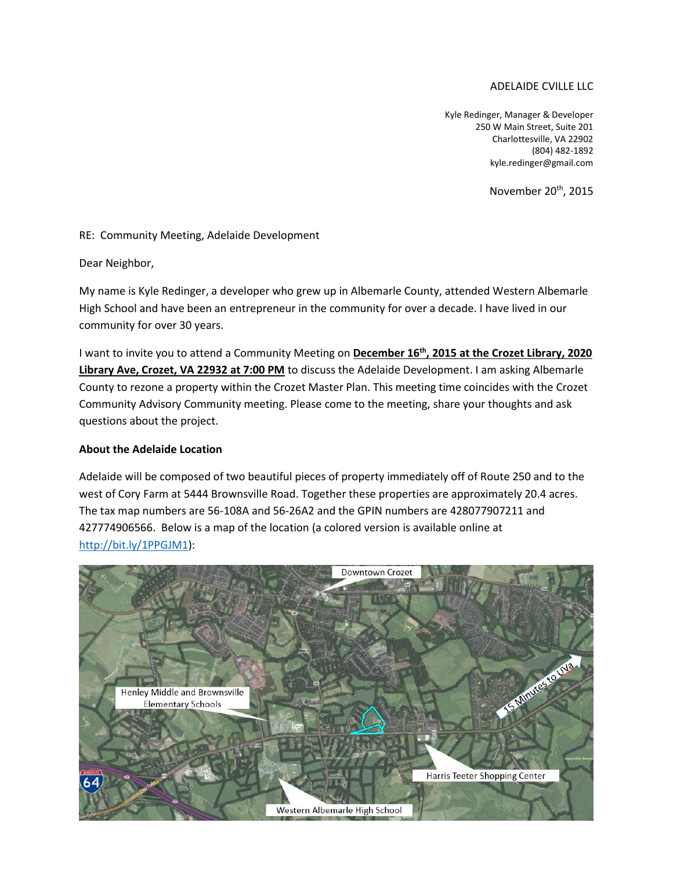# ADELAIDE CVILLE LLC

Kyle Redinger, Manager & Developer 250 W Main Street, Suite 201 Charlottesville, VA 22902 (804) 482-1892 kyle.redinger@gmail.com

November 20th, 2015

## RE: Community Meeting, Adelaide Development

Dear Neighbor,

My name is Kyle Redinger, a developer who grew up in Albemarle County, attended Western Albemarle High School and have been an entrepreneur in the community for over a decade. I have lived in our community for over 30 years.

I want to invite you to attend a Community Meeting on **December 16th, 2015 at the Crozet Library, 2020 Library Ave, Crozet, VA 22932 at 7:00 PM** to discuss the Adelaide Development. I am asking Albemarle County to rezone a property within the Crozet Master Plan. This meeting time coincides with the Crozet Community Advisory Community meeting. Please come to the meeting, share your thoughts and ask questions about the project.

#### **About the Adelaide Location**

Adelaide will be composed of two beautiful pieces of property immediately off of Route 250 and to the west of Cory Farm at 5444 Brownsville Road. Together these properties are approximately 20.4 acres. The tax map numbers are 56-108A and 56-26A2 and the GPIN numbers are 428077907211 and 427774906566. Below is a map of the location (a colored version is available online at http://bit.ly/1PPGJM1):

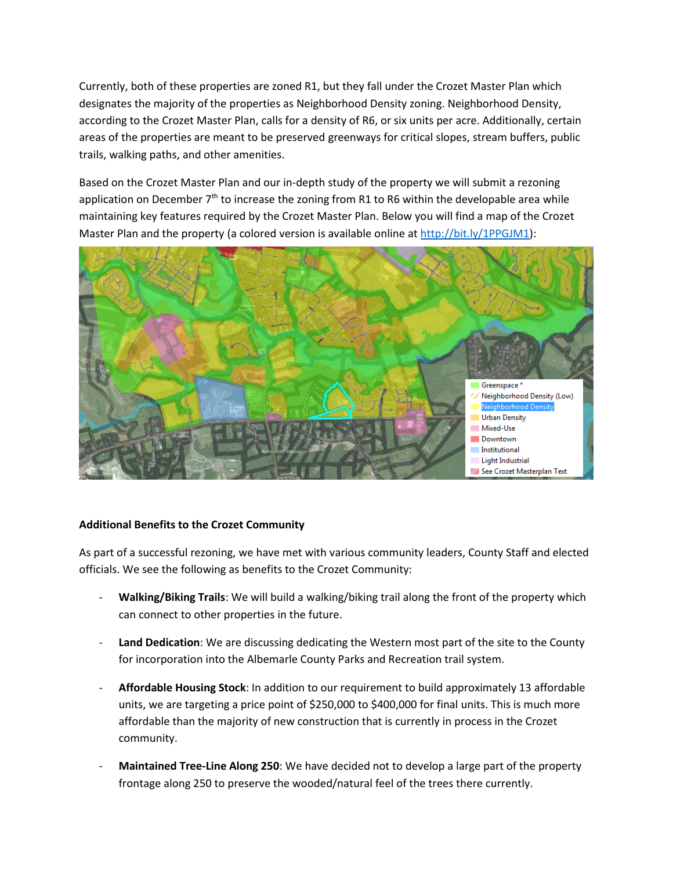Currently, both of these properties are zoned R1, but they fall under the Crozet Master Plan which designates the majority of the properties as Neighborhood Density zoning. Neighborhood Density, according to the Crozet Master Plan, calls for a density of R6, or six units per acre. Additionally, certain areas of the properties are meant to be preserved greenways for critical slopes, stream buffers, public trails, walking paths, and other amenities.

Based on the Crozet Master Plan and our in-depth study of the property we will submit a rezoning application on December  $7<sup>th</sup>$  to increase the zoning from R1 to R6 within the developable area while maintaining key features required by the Crozet Master Plan. Below you will find a map of the Crozet Master Plan and the property (a colored version is available online at http://bit.ly/1PPGJM1):



## **Additional Benefits to the Crozet Community**

As part of a successful rezoning, we have met with various community leaders, County Staff and elected officials. We see the following as benefits to the Crozet Community:

- **Walking/Biking Trails**: We will build a walking/biking trail along the front of the property which can connect to other properties in the future.
- Land Dedication: We are discussing dedicating the Western most part of the site to the County for incorporation into the Albemarle County Parks and Recreation trail system.
- **Affordable Housing Stock**: In addition to our requirement to build approximately 13 affordable units, we are targeting a price point of \$250,000 to \$400,000 for final units. This is much more affordable than the majority of new construction that is currently in process in the Crozet community.
- **Maintained Tree-Line Along 250**: We have decided not to develop a large part of the property frontage along 250 to preserve the wooded/natural feel of the trees there currently.